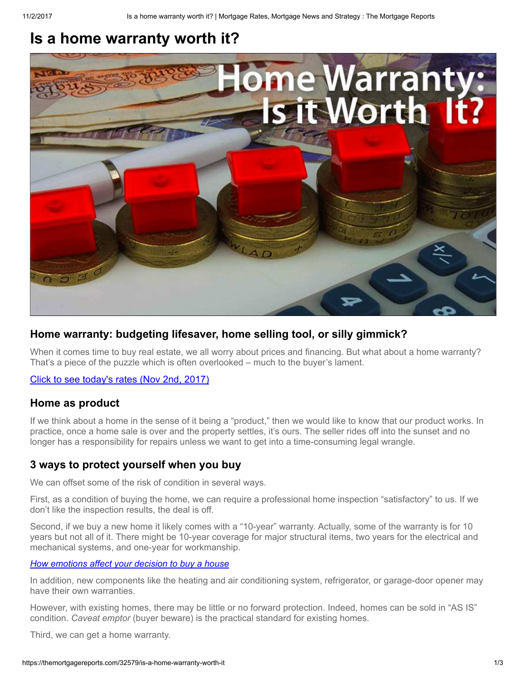# Is a home warranty worth it?



# Home warranty: budgeting lifesaver, home selling tool, or silly gimmick?

When it comes time to buy real estate, we all worry about prices and financing. But what about a home warranty? That's a piece of the puzzle which is often overlooked – much to the buyer's lament.

[Click to see today's rates \(Nov 2nd, 2017\)](https://themortgagereports.com/ratequote/)

# Home as product

If we think about a home in the sense of it being a "product," then we would like to know that our product works. In practice, once a home sale is over and the property settles, it's ours. The seller rides off into the sunset and no longer has a responsibility for repairs unless we want to get into a time-consuming legal wrangle.

# 3 ways to protect yourself when you buy

We can offset some of the risk of condition in several ways.

First, as a condition of buying the home, we can require a professional home inspection "satisfactory" to us. If we don't like the inspection results, the deal is off.

Second, if we buy a new home it likely comes with a "10-year" warranty. Actually, some of the warranty is for 10 years but not all of it. There might be 10-year coverage for major structural items, two years for the electrical and mechanical systems, and one-year for workmanship.

### [How emotions affect your decision to buy a house](https://themortgagereports.com/32359/how-emotions-affect-your-decision-to-buy-a-house)

In addition, new components like the heating and air conditioning system, refrigerator, or garage-door opener may have their own warranties.

However, with existing homes, there may be little or no forward protection. Indeed, homes can be sold in "AS IS" condition. Caveat emptor (buyer beware) is the practical standard for existing homes.

Third, we can get a home warranty.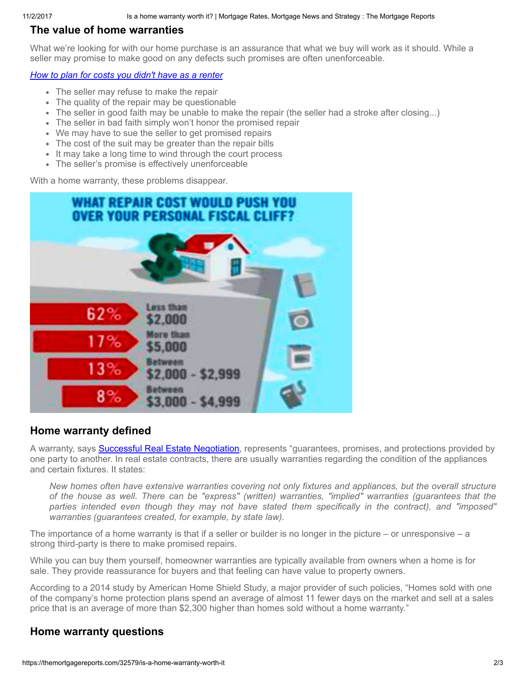# The value of home warranties

What we're looking for with our home purchase is an assurance that what we buy will work as it should. While a seller may promise to make good on any defects such promises are often unenforceable.

# [How to plan for costs you didn't have as a renter](https://themortgagereports.com/first-time-home-buyers-guide)

- The seller may refuse to make the repair
- The quality of the repair may be questionable
- The seller in good faith may be unable to make the repair (the seller had a stroke after closing...)
- The seller in bad faith simply won't honor the promised repair
- We may have to sue the seller to get promised repairs
- The cost of the suit may be greater than the repair bills
- It may take a long time to wind through the court process
- The seller's promise is effectively unenforceable

With a home warranty, these problems disappear.



# Home warranty defined

A warranty, says **Successful Real Estate Negotiation**, represents "guarantees, promises, and protections provided by one party to another. In real estate contracts, there are usually warranties regarding the condition of the appliances and certain fixtures. It states:

New homes often have extensive warranties covering not only fixtures and appliances, but the overall structure of the house as well. There can be "express" (written) warranties, "implied" warranties (guarantees that the parties intended even though they may not have stated them specifically in the contract), and "imposed" warranties (guarantees created, for example, by state law).

The importance of a home warranty is that if a seller or builder is no longer in the picture – or unresponsive – a strong third-party is there to make promised repairs.

While you can buy them yourself, homeowner warranties are typically available from owners when a home is for sale. They provide reassurance for buyers and that feeling can have value to property owners.

According to a 2014 study by American Home Shield Study, a major provider of such policies, "Homes sold with one of the company's home protection plans spend an average of almost 11 fewer days on the market and sell at a sales price that is an average of more than \$2,300 higher than homes sold without a home warranty."

# Home warranty questions